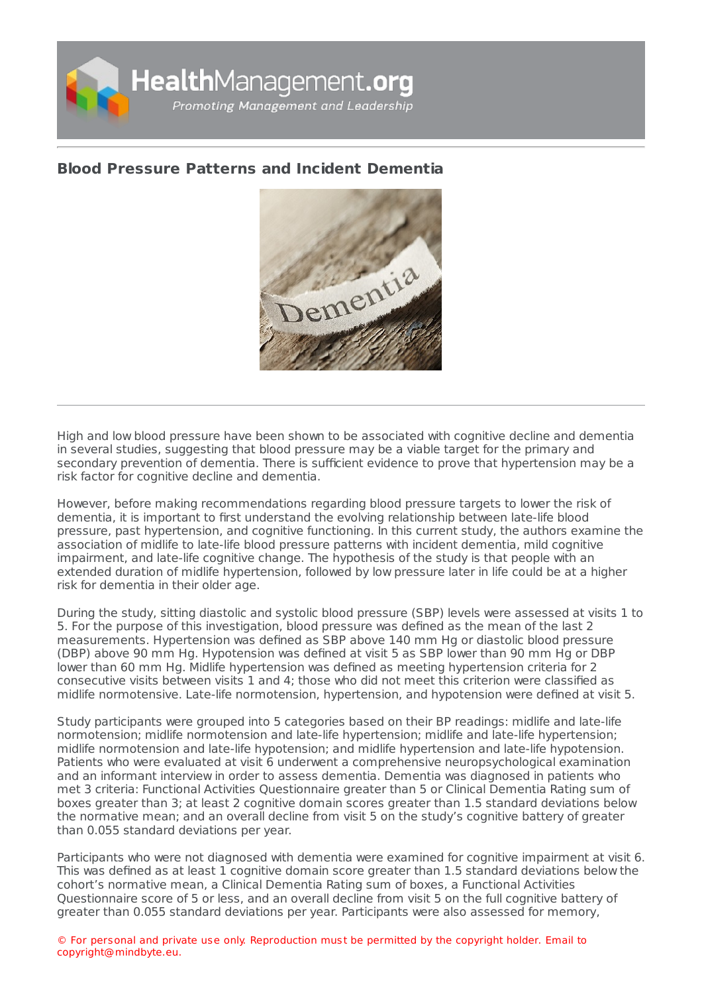

## **Blood Pressure Patterns and Incident [Dementia](https://healthmanagement.org/s/blood-pressure-patterns-and-incident-dementia)**



High and low blood pressure have been shown to be associated with cognitive decline and dementia in several studies, suggesting that blood pressure may be a viable target for the primary and secondary prevention of dementia. There is sufficient evidence to prove that hypertension may be a risk factor for cognitive decline and dementia.

However, before making recommendations regarding blood pressure targets to lower the risk of dementia, it is important to first understand the evolving relationship between late-life blood pressure, past hypertension, and cognitive functioning. In this current study, the authors examine the association of midlife to late-life blood pressure patterns with incident dementia, mild cognitive impairment, and late-life cognitive change. The hypothesis of the study is that people with an extended duration of midlife hypertension, followed by low pressure later in life could be at a higher risk for dementia in their older age.

During the study, sitting diastolic and systolic blood pressure (SBP) levels were assessed at visits 1 to 5. For the purpose of this investigation, blood pressure was defined as the mean of the last 2 measurements. Hypertension was defined as SBP above 140 mm Hg or diastolic blood pressure (DBP) above 90 mm Hg. Hypotension was defined at visit 5 as SBP lower than 90 mm Hg or DBP lower than 60 mm Hg. Midlife hypertension was defined as meeting hypertension criteria for 2 consecutive visits between visits 1 and 4; those who did not meet this criterion were classified as midlife normotensive. Late-life normotension, hypertension, and hypotension were defined at visit 5.

Study participants were grouped into 5 categories based on their BP readings: midlife and late-life normotension; midlife normotension and late-life hypertension; midlife and late-life hypertension; midlife normotension and late-life hypotension; and midlife hypertension and late-life hypotension. Patients who were evaluated at visit 6 underwent a comprehensive neuropsychological examination and an informant interview in order to assess dementia. Dementia was diagnosed in patients who met 3 criteria: Functional Activities Questionnaire greater than 5 or Clinical Dementia Rating sum of boxes greater than 3; at least 2 cognitive domain scores greater than 1.5 standard deviations below the normative mean; and an overall decline from visit 5 on the study's cognitive battery of greater than 0.055 standard deviations per year.

Participants who were not diagnosed with dementia were examined for cognitive impairment at visit 6. This was defined as at least 1 cognitive domain score greater than 1.5 standard deviations below the cohort's normative mean, a Clinical Dementia Rating sum of boxes, a Functional Activities Questionnaire score of 5 or less, and an overall decline from visit 5 on the full cognitive battery of greater than 0.055 standard deviations per year. Participants were also assessed for memory,

© For personal and private use only. Reproduction must be permitted by the copyright holder. Email to copyright@mindbyte.eu.